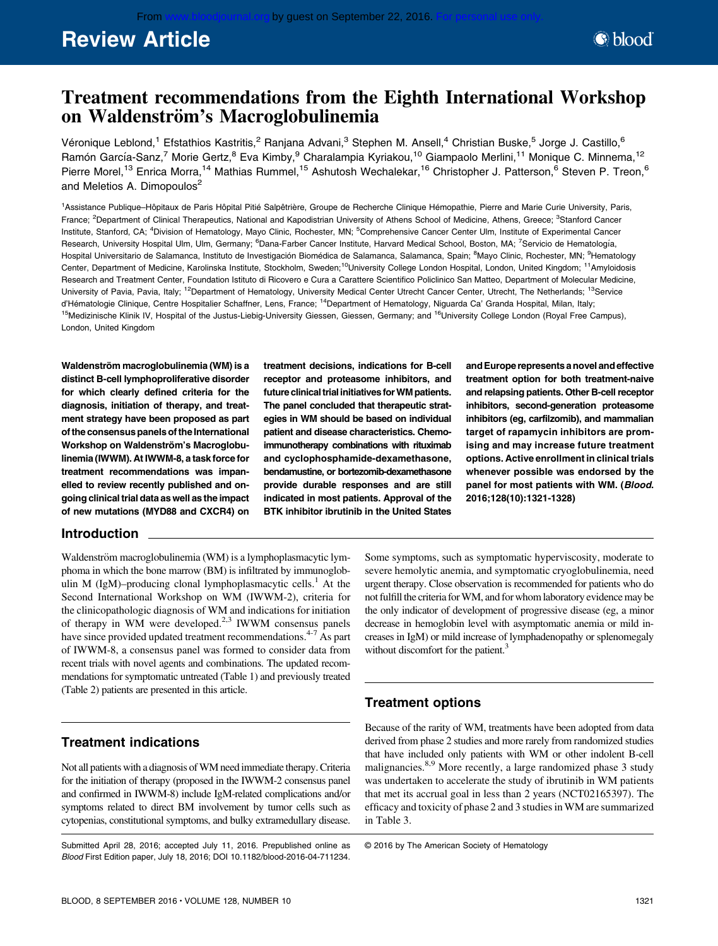# Review Article

## Treatment recommendations from the Eighth International Workshop on Waldenström's Macroglobulinemia

Véronique Leblond,<sup>1</sup> Efstathios Kastritis,<sup>2</sup> Ranjana Advani,<sup>3</sup> Stephen M. Ansell,<sup>4</sup> Christian Buske,<sup>5</sup> Jorge J. Castillo,<sup>6</sup> Ramón García-Sanz,<sup>7</sup> Morie Gertz,<sup>8</sup> Eva Kimby,<sup>9</sup> Charalampia Kyriakou,<sup>10</sup> Giampaolo Merlini,<sup>11</sup> Monique C. Minnema,<sup>12</sup> Pierre Morel,<sup>13</sup> Enrica Morra,<sup>14</sup> Mathias Rummel,<sup>15</sup> Ashutosh Wechalekar,<sup>16</sup> Christopher J. Patterson,<sup>6</sup> Steven P. Treon,<sup>6</sup> and Meletios A. Dimopoulos<sup>2</sup>

<sup>1</sup>Assistance Publique–Hôpitaux de Paris Hôpital Pitié Salpêtrière, Groupe de Recherche Clinique Hémopathie, Pierre and Marie Curie University, Paris, France; <sup>2</sup>Department of Clinical Therapeutics, National and Kapodistrian University of Athens School of Medicine, Athens, Greece; <sup>3</sup>Stanford Cancer Institute, Stanford, CA; <sup>4</sup>Division of Hematology, Mayo Clinic, Rochester, MN; <sup>5</sup>Comprehensive Cancer Center Ulm, Institute of Experimental Cancer Research, University Hospital Ulm, Ulm, Germany; <sup>6</sup>Dana-Farber Cancer Institute, Harvard Medical School, Boston, MA; <sup>7</sup>Servicio de Hematología, Hospital Universitario de Salamanca, Instituto de Investigación Biomédica de Salamanca, Salamanca, Spain; <sup>8</sup>Mayo Clinic, Rochester, MN; <sup>9</sup>Hematology Center, Department of Medicine, Karolinska Institute, Stockholm, Sweden;<sup>10</sup>University College London Hospital, London, United Kingdom; <sup>11</sup>Amyloidosis Research and Treatment Center, Foundation Istituto di Ricovero e Cura a Carattere Scientifico Policlinico San Matteo, Department of Molecular Medicine, University of Pavia, Pavia, Italy; <sup>12</sup>Department of Hematology, University Medical Center Utrecht Cancer Center, Utrecht, The Netherlands; <sup>13</sup>Service d'Hématologie Clinique, Centre Hospitalier Schaffner, Lens, France; <sup>14</sup>Department of Hematology, Niguarda Ca' Granda Hospital, Milan, Italy; <sup>15</sup>Medizinische Klinik IV, Hospital of the Justus-Liebig-University Giessen, Giessen, Germany; and <sup>16</sup>University College London (Royal Free Campus), London, United Kingdom

Waldenström macroglobulinemia (WM) is a distinct B-cell lymphoproliferative disorder for which clearly defined criteria for the diagnosis, initiation of therapy, and treatment strategy have been proposed as part of the consensus panels of the International Workshop on Waldenström's Macroglobulinemia (IWWM). At IWWM-8, a task force for treatment recommendations was impanelled to review recently published and ongoing clinical trial data as well as the impact of new mutations (MYD88 and CXCR4) on

treatment decisions, indications for B-cell receptor and proteasome inhibitors, and future clinical trial initiatives for WM patients. The panel concluded that therapeutic strategies in WM should be based on individual patient and disease characteristics. Chemoimmunotherapy combinations with rituximab and cyclophosphamide-dexamethasone, bendamustine, or bortezomib-dexamethasone provide durable responses and are still indicated in most patients. Approval of the BTK inhibitor ibrutinib in the United States

andEurope represents a novel and effective treatment option for both treatment-naive and relapsing patients. Other B-cell receptor inhibitors, second-generation proteasome inhibitors (eg, carfilzomib), and mammalian target of rapamycin inhibitors are promising and may increase future treatment options. Active enrollment in clinical trials whenever possible was endorsed by the panel for most patients with WM. (Blood. 2016;128(10):1321-1328)

### Introduction

Waldenström macroglobulinemia (WM) is a lymphoplasmacytic lymphoma in which the bone marrow (BM) is infiltrated by immunoglobulin M (IgM)–producing clonal lymphoplasmacytic cells.<sup>1</sup> At the Second International Workshop on WM (IWWM-2), criteria for the clinicopathologic diagnosis of WM and indications for initiation of therapy in WM were developed. $2,3$  IWWM consensus panels have since provided updated treatment recommendations.<sup>4-7</sup> As part of IWWM-8, a consensus panel was formed to consider data from recent trials with novel agents and combinations. The updated recommendations for symptomatic untreated (Table 1) and previously treated (Table 2) patients are presented in this article.

### Treatment indications

Not all patients with a diagnosis of WM need immediate therapy. Criteria for the initiation of therapy (proposed in the IWWM-2 consensus panel and confirmed in IWWM-8) include IgM-related complications and/or symptoms related to direct BM involvement by tumor cells such as cytopenias, constitutional symptoms, and bulky extramedullary disease.

Submitted April 28, 2016; accepted July 11, 2016. Prepublished online as Blood First Edition paper, July 18, 2016; DOI 10.1182/blood-2016-04-711234.

Some symptoms, such as symptomatic hyperviscosity, moderate to severe hemolytic anemia, and symptomatic cryoglobulinemia, need urgent therapy. Close observation is recommended for patients who do not fulfill the criteria forWM, and for whom laboratory evidence may be the only indicator of development of progressive disease (eg, a minor decrease in hemoglobin level with asymptomatic anemia or mild increases in IgM) or mild increase of lymphadenopathy or splenomegaly without discomfort for the patient.<sup>3</sup>

### Treatment options

Because of the rarity of WM, treatments have been adopted from data derived from phase 2 studies and more rarely from randomized studies that have included only patients with WM or other indolent B-cell malignancies.8,9 More recently, a large randomized phase 3 study was undertaken to accelerate the study of ibrutinib in WM patients that met its accrual goal in less than 2 years (NCT02165397). The efficacy and toxicity of phase 2 and 3 studies in WM are summarized in Table 3.

© 2016 by The American Society of Hematology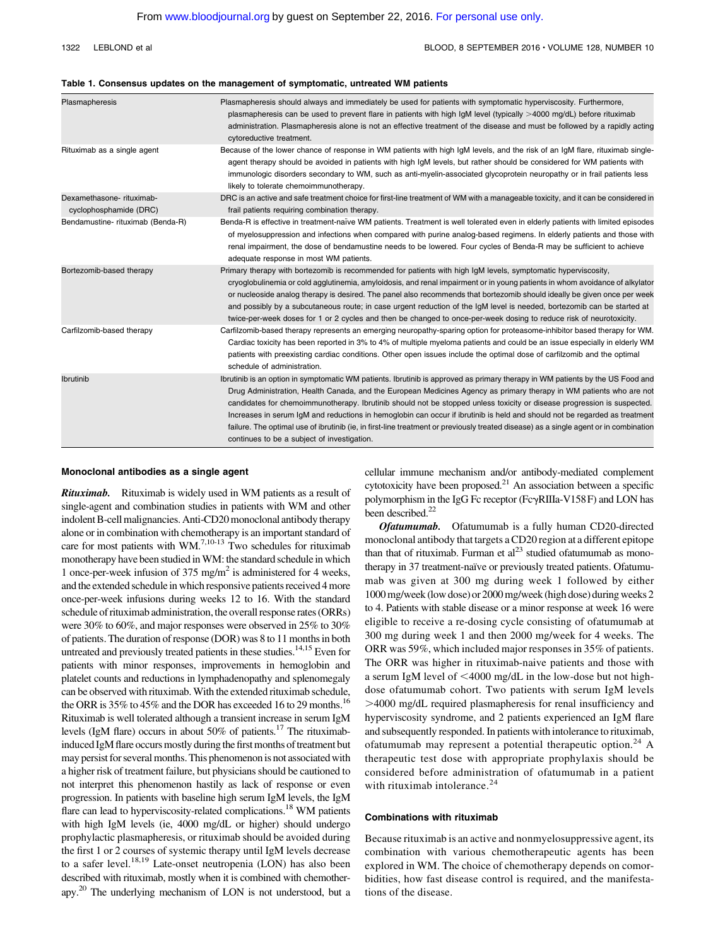#### 1322 LEBLOND et al BLOOD, 8 SEPTEMBER 2016 · VOLUME 128, NUMBER 10

#### Table 1. Consensus updates on the management of symptomatic, untreated WM patients

| Plasmapheresis                                     | Plasmapheresis should always and immediately be used for patients with symptomatic hyperviscosity. Furthermore,<br>plasmapheresis can be used to prevent flare in patients with high IgM level (typically >4000 mg/dL) before rituximab<br>administration. Plasmapheresis alone is not an effective treatment of the disease and must be followed by a rapidly acting<br>cytoreductive treatment.                                                                                                                                                                                                                                                                                                     |
|----------------------------------------------------|-------------------------------------------------------------------------------------------------------------------------------------------------------------------------------------------------------------------------------------------------------------------------------------------------------------------------------------------------------------------------------------------------------------------------------------------------------------------------------------------------------------------------------------------------------------------------------------------------------------------------------------------------------------------------------------------------------|
| Rituximab as a single agent                        | Because of the lower chance of response in WM patients with high IgM levels, and the risk of an IgM flare, rituximab single-<br>agent therapy should be avoided in patients with high IgM levels, but rather should be considered for WM patients with<br>immunologic disorders secondary to WM, such as anti-myelin-associated glycoprotein neuropathy or in frail patients less<br>likely to tolerate chemoimmunotherapy.                                                                                                                                                                                                                                                                           |
| Dexamethasone-rituximab-<br>cyclophosphamide (DRC) | DRC is an active and safe treatment choice for first-line treatment of WM with a manageable toxicity, and it can be considered in<br>frail patients requiring combination therapy.                                                                                                                                                                                                                                                                                                                                                                                                                                                                                                                    |
| Bendamustine-rituximab (Benda-R)                   | Benda-R is effective in treatment-naïve WM patients. Treatment is well tolerated even in elderly patients with limited episodes<br>of myelosuppression and infections when compared with purine analog-based regimens. In elderly patients and those with<br>renal impairment, the dose of bendamustine needs to be lowered. Four cycles of Benda-R may be sufficient to achieve<br>adequate response in most WM patients.                                                                                                                                                                                                                                                                            |
| Bortezomib-based therapy                           | Primary therapy with bortezomib is recommended for patients with high IgM levels, symptomatic hyperviscosity,<br>cryoglobulinemia or cold agglutinemia, amyloidosis, and renal impairment or in young patients in whom avoidance of alkylator<br>or nucleoside analog therapy is desired. The panel also recommends that bortezomib should ideally be given once per week<br>and possibly by a subcutaneous route; in case urgent reduction of the IgM level is needed, bortezomib can be started at<br>twice-per-week doses for 1 or 2 cycles and then be changed to once-per-week dosing to reduce risk of neurotoxicity.                                                                           |
| Carfilzomib-based therapy                          | Carfilzomib-based therapy represents an emerging neuropathy-sparing option for proteasome-inhibitor based therapy for WM.<br>Cardiac toxicity has been reported in 3% to 4% of multiple myeloma patients and could be an issue especially in elderly WM<br>patients with preexisting cardiac conditions. Other open issues include the optimal dose of carfilzomib and the optimal<br>schedule of administration.                                                                                                                                                                                                                                                                                     |
| <b>Ibrutinib</b>                                   | Ibrutinib is an option in symptomatic WM patients. Ibrutinib is approved as primary therapy in WM patients by the US Food and<br>Drug Administration, Health Canada, and the European Medicines Agency as primary therapy in WM patients who are not<br>candidates for chemoimmunotherapy. Ibrutinib should not be stopped unless toxicity or disease progression is suspected.<br>Increases in serum IgM and reductions in hemoglobin can occur if ibrutinib is held and should not be regarded as treatment<br>failure. The optimal use of ibrutinib (ie, in first-line treatment or previously treated disease) as a single agent or in combination<br>continues to be a subject of investigation. |

#### Monoclonal antibodies as a single agent

Rituximab. Rituximab is widely used in WM patients as a result of single-agent and combination studies in patients with WM and other indolent B-cell malignancies. Anti-CD20 monoclonal antibody therapy alone or in combination with chemotherapy is an important standard of care for most patients with WM.<sup>7,10-13</sup> Two schedules for rituximab monotherapy have been studied inWM: the standard schedule in which 1 once-per-week infusion of 375 mg/m<sup>2</sup> is administered for 4 weeks, and the extended schedule in which responsive patients received 4 more once-per-week infusions during weeks 12 to 16. With the standard schedule of rituximab administration, the overall response rates (ORRs) were 30% to 60%, and major responses were observed in 25% to 30% of patients. The duration of response (DOR) was 8 to 11 months in both untreated and previously treated patients in these studies.<sup>14,15</sup> Even for patients with minor responses, improvements in hemoglobin and platelet counts and reductions in lymphadenopathy and splenomegaly can be observed with rituximab.With the extended rituximab schedule, the ORR is 35% to 45% and the DOR has exceeded 16 to 29 months.<sup>16</sup> Rituximab is well tolerated although a transient increase in serum IgM levels (IgM flare) occurs in about 50% of patients.17 The rituximabinduced IgM flare occurs mostly during the first months of treatment but may persist for several months. This phenomenon is not associated with a higher risk of treatment failure, but physicians should be cautioned to not interpret this phenomenon hastily as lack of response or even progression. In patients with baseline high serum IgM levels, the IgM flare can lead to hyperviscosity-related complications.<sup>18</sup> WM patients with high IgM levels (ie, 4000 mg/dL or higher) should undergo prophylactic plasmapheresis, or rituximab should be avoided during the first 1 or 2 courses of systemic therapy until IgM levels decrease to a safer level.<sup>18,19</sup> Late-onset neutropenia (LON) has also been described with rituximab, mostly when it is combined with chemotherapy.20 The underlying mechanism of LON is not understood, but a cellular immune mechanism and/or antibody-mediated complement cytotoxicity have been proposed.<sup>21</sup> An association between a specific polymorphism in the IgG Fc receptor (Fc $\gamma$ RIIIa-V158F) and LON has been described.<sup>22</sup>

Ofatumumab. Ofatumumab is a fully human CD20-directed monoclonal antibody that targets a CD20 region at a different epitope than that of rituximab. Furman et  $al^{23}$  studied of atumumab as monotherapy in 37 treatment-naïve or previously treated patients. Of atumumab was given at 300 mg during week 1 followed by either 1000 mg/week (low dose) or 2000 mg/week (high dose) during weeks 2 to 4. Patients with stable disease or a minor response at week 16 were eligible to receive a re-dosing cycle consisting of ofatumumab at 300 mg during week 1 and then 2000 mg/week for 4 weeks. The ORR was 59%, which included major responses in 35% of patients. The ORR was higher in rituximab-naive patients and those with a serum IgM level of  $\leq$ 4000 mg/dL in the low-dose but not highdose ofatumumab cohort. Two patients with serum IgM levels .4000 mg/dL required plasmapheresis for renal insufficiency and hyperviscosity syndrome, and 2 patients experienced an IgM flare and subsequently responded. In patients with intolerance to rituximab, ofatumumab may represent a potential therapeutic option.<sup>24</sup> A therapeutic test dose with appropriate prophylaxis should be considered before administration of ofatumumab in a patient with rituximab intolerance. $24$ 

#### Combinations with rituximab

Because rituximab is an active and nonmyelosuppressive agent, its combination with various chemotherapeutic agents has been explored in WM. The choice of chemotherapy depends on comorbidities, how fast disease control is required, and the manifestations of the disease.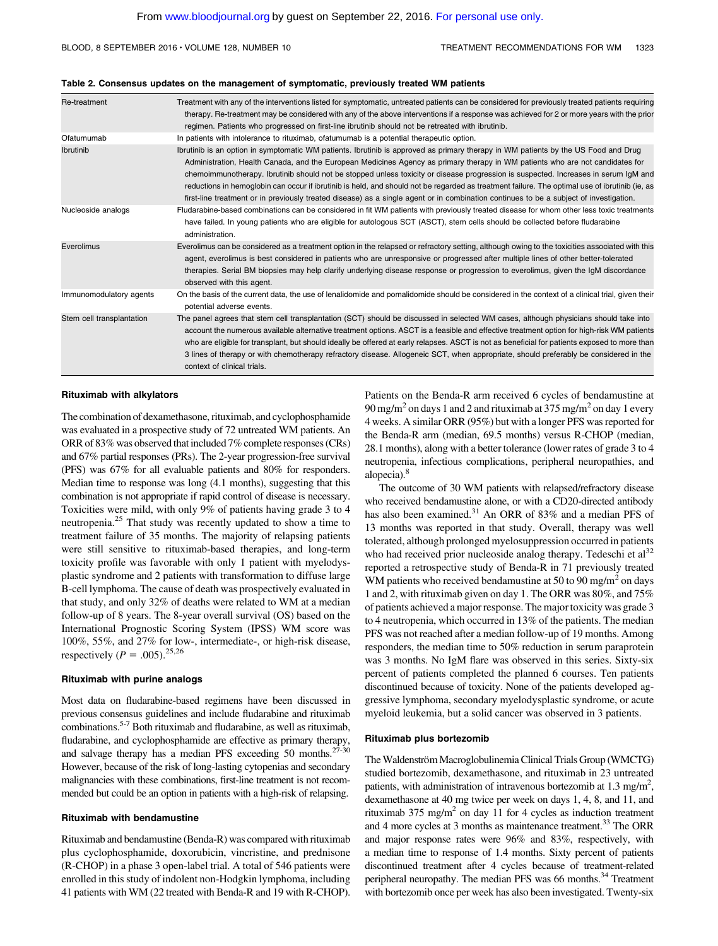#### Table 2. Consensus updates on the management of symptomatic, previously treated WM patients

| Re-treatment              | Treatment with any of the interventions listed for symptomatic, untreated patients can be considered for previously treated patients requiring<br>therapy. Re-treatment may be considered with any of the above interventions if a response was achieved for 2 or more years with the prior<br>regimen. Patients who progressed on first-line ibrutinib should not be retreated with ibrutinib.                                                                                                                                                                                                                                                                                                        |
|---------------------------|--------------------------------------------------------------------------------------------------------------------------------------------------------------------------------------------------------------------------------------------------------------------------------------------------------------------------------------------------------------------------------------------------------------------------------------------------------------------------------------------------------------------------------------------------------------------------------------------------------------------------------------------------------------------------------------------------------|
| Ofatumumab                | In patients with intolerance to rituximab, ofatumumab is a potential therapeutic option.                                                                                                                                                                                                                                                                                                                                                                                                                                                                                                                                                                                                               |
| <b>Ibrutinib</b>          | Ibrutinib is an option in symptomatic WM patients. Ibrutinib is approved as primary therapy in WM patients by the US Food and Drug<br>Administration, Health Canada, and the European Medicines Agency as primary therapy in WM patients who are not candidates for<br>chemoimmunotherapy. Ibrutinib should not be stopped unless toxicity or disease progression is suspected. Increases in serum IgM and<br>reductions in hemoglobin can occur if ibrutinib is held, and should not be regarded as treatment failure. The optimal use of ibrutinib (ie, as<br>first-line treatment or in previously treated disease) as a single agent or in combination continues to be a subject of investigation. |
| Nucleoside analogs        | Fludarabine-based combinations can be considered in fit WM patients with previously treated disease for whom other less toxic treatments<br>have failed. In young patients who are eligible for autologous SCT (ASCT), stem cells should be collected before fludarabine<br>administration.                                                                                                                                                                                                                                                                                                                                                                                                            |
| Everolimus                | Everolimus can be considered as a treatment option in the relapsed or refractory setting, although owing to the toxicities associated with this<br>agent, everolimus is best considered in patients who are unresponsive or progressed after multiple lines of other better-tolerated<br>therapies. Serial BM biopsies may help clarify underlying disease response or progression to everolimus, given the IgM discordance<br>observed with this agent.                                                                                                                                                                                                                                               |
| Immunomodulatory agents   | On the basis of the current data, the use of lenalidomide and pomalidomide should be considered in the context of a clinical trial, given their<br>potential adverse events.                                                                                                                                                                                                                                                                                                                                                                                                                                                                                                                           |
| Stem cell transplantation | The panel agrees that stem cell transplantation (SCT) should be discussed in selected WM cases, although physicians should take into<br>account the numerous available alternative treatment options. ASCT is a feasible and effective treatment option for high-risk WM patients<br>who are eligible for transplant, but should ideally be offered at early relapses. ASCT is not as beneficial for patients exposed to more than<br>3 lines of therapy or with chemotherapy refractory disease. Allogeneic SCT, when appropriate, should preferably be considered in the<br>context of clinical trials.                                                                                              |

#### Rituximab with alkylators

The combination of dexamethasone, rituximab, and cyclophosphamide was evaluated in a prospective study of 72 untreated WM patients. An ORR of 83% was observed that included 7% complete responses (CRs) and 67% partial responses (PRs). The 2-year progression-free survival (PFS) was 67% for all evaluable patients and 80% for responders. Median time to response was long (4.1 months), suggesting that this combination is not appropriate if rapid control of disease is necessary. Toxicities were mild, with only 9% of patients having grade 3 to 4 neutropenia.<sup>25</sup> That study was recently updated to show a time to treatment failure of 35 months. The majority of relapsing patients were still sensitive to rituximab-based therapies, and long-term toxicity profile was favorable with only 1 patient with myelodysplastic syndrome and 2 patients with transformation to diffuse large B-cell lymphoma. The cause of death was prospectively evaluated in that study, and only 32% of deaths were related to WM at a median follow-up of 8 years. The 8-year overall survival (OS) based on the International Prognostic Scoring System (IPSS) WM score was 100%, 55%, and 27% for low-, intermediate-, or high-risk disease, respectively ( $P = .005$ ).<sup>25,26</sup>

#### Rituximab with purine analogs

Most data on fludarabine-based regimens have been discussed in previous consensus guidelines and include fludarabine and rituximab combinations.5-7 Both rituximab and fludarabine, as well as rituximab, fludarabine, and cyclophosphamide are effective as primary therapy, and salvage therapy has a median PFS exceeding 50 months.<sup>27-30</sup> However, because of the risk of long-lasting cytopenias and secondary malignancies with these combinations, first-line treatment is not recommended but could be an option in patients with a high-risk of relapsing.

#### Rituximab with bendamustine

Rituximab and bendamustine (Benda-R) was compared with rituximab plus cyclophosphamide, doxorubicin, vincristine, and prednisone (R-CHOP) in a phase 3 open-label trial. A total of 546 patients were enrolled in this study of indolent non-Hodgkin lymphoma, including 41 patients with WM (22 treated with Benda-R and 19 with R-CHOP).

Patients on the Benda-R arm received 6 cycles of bendamustine at 90 mg/m<sup>2</sup> on days 1 and 2 and rituximab at 375 mg/m<sup>2</sup> on day 1 every 4 weeks. A similar ORR (95%) but with a longer PFS was reported for the Benda-R arm (median, 69.5 months) versus R-CHOP (median, 28.1 months), along with a better tolerance (lower rates of grade 3 to 4 neutropenia, infectious complications, peripheral neuropathies, and alopecia).<sup>8</sup>

### The outcome of 30 WM patients with relapsed/refractory disease who received bendamustine alone, or with a CD20-directed antibody has also been examined.<sup>31</sup> An ORR of 83% and a median PFS of 13 months was reported in that study. Overall, therapy was well tolerated, although prolonged myelosuppression occurred in patients who had received prior nucleoside analog therapy. Tedeschi et al<sup>32</sup> reported a retrospective study of Benda-R in 71 previously treated WM patients who received bendamustine at 50 to 90 mg/m<sup>2</sup> on days 1 and 2, with rituximab given on day 1. The ORR was 80%, and 75% of patients achieved a major response. The major toxicity was grade 3 to 4 neutropenia, which occurred in 13% of the patients. The median PFS was not reached after a median follow-up of 19 months. Among responders, the median time to 50% reduction in serum paraprotein was 3 months. No IgM flare was observed in this series. Sixty-six percent of patients completed the planned 6 courses. Ten patients discontinued because of toxicity. None of the patients developed aggressive lymphoma, secondary myelodysplastic syndrome, or acute myeloid leukemia, but a solid cancer was observed in 3 patients.

#### Rituximab plus bortezomib

The Waldenström Macroglobulinemia Clinical Trials Group (WMCTG) studied bortezomib, dexamethasone, and rituximab in 23 untreated patients, with administration of intravenous bortezomib at 1.3 mg/m<sup>2</sup>, dexamethasone at 40 mg twice per week on days 1, 4, 8, and 11, and rituximab  $375 \text{ mg/m}^2$  on day 11 for 4 cycles as induction treatment and 4 more cycles at 3 months as maintenance treatment.<sup>33</sup> The ORR and major response rates were 96% and 83%, respectively, with a median time to response of 1.4 months. Sixty percent of patients discontinued treatment after 4 cycles because of treatment-related peripheral neuropathy. The median PFS was 66 months.<sup>34</sup> Treatment with bortezomib once per week has also been investigated. Twenty-six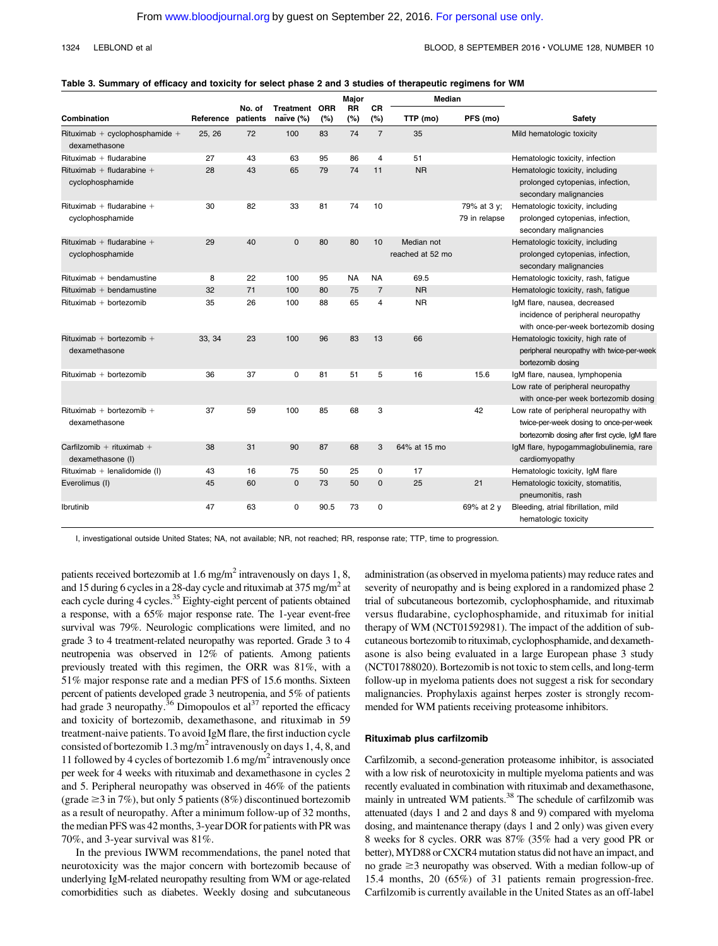#### 1324 LEBLOND et al BLOOD, 8 SEPTEMBER 2016 · VOLUME 128, NUMBER 10

#### Table 3. Summary of efficacy and toxicity for select phase 2 and 3 studies of therapeutic regimens for WM

|                                                 |           |                    |                            |      | Major            |                | <b>Median</b>                  |                              |                                                                                                                                    |
|-------------------------------------------------|-----------|--------------------|----------------------------|------|------------------|----------------|--------------------------------|------------------------------|------------------------------------------------------------------------------------------------------------------------------------|
| Combination                                     | Reference | No. of<br>patients | Treatment ORR<br>naïve (%) | (%)  | <b>RR</b><br>(%) | CR<br>(%)      | TTP (mo)                       | PFS (mo)                     | Safety                                                                                                                             |
| Rituximab + cyclophosphamide +<br>dexamethasone | 25, 26    | 72                 | 100                        | 83   | 74               | $\overline{7}$ | 35                             |                              | Mild hematologic toxicity                                                                                                          |
| $Rituximab + fludarabine$                       | 27        | 43                 | 63                         | 95   | 86               | 4              | 51                             |                              | Hematologic toxicity, infection                                                                                                    |
| Rituximab + fludarabine +<br>cyclophosphamide   | 28        | 43                 | 65                         | 79   | 74               | 11             | <b>NR</b>                      |                              | Hematologic toxicity, including<br>prolonged cytopenias, infection,<br>secondary malignancies                                      |
| Rituximab + fludarabine +<br>cyclophosphamide   | 30        | 82                 | 33                         | 81   | 74               | 10             |                                | 79% at 3 y;<br>79 in relapse | Hematologic toxicity, including<br>prolonged cytopenias, infection,<br>secondary malignancies                                      |
| Rituximab + fludarabine +<br>cyclophosphamide   | 29        | 40                 | $\Omega$                   | 80   | 80               | 10             | Median not<br>reached at 52 mo |                              | Hematologic toxicity, including<br>prolonged cytopenias, infection,<br>secondary malignancies                                      |
| $Rituximab + bendamustine$                      | 8         | 22                 | 100                        | 95   | <b>NA</b>        | <b>NA</b>      | 69.5                           |                              | Hematologic toxicity, rash, fatigue                                                                                                |
| $Rituxima b + bendamustine$                     | 32        | 71                 | 100                        | 80   | 75               | $\overline{7}$ | <b>NR</b>                      |                              | Hematologic toxicity, rash, fatigue                                                                                                |
| $Rituximab + bortezomib$                        | 35        | 26                 | 100                        | 88   | 65               | 4              | <b>NR</b>                      |                              | IgM flare, nausea, decreased<br>incidence of peripheral neuropathy<br>with once-per-week bortezomib dosing                         |
| Rituximab + bortezomib +<br>dexamethasone       | 33, 34    | 23                 | 100                        | 96   | 83               | 13             | 66                             |                              | Hematologic toxicity, high rate of<br>peripheral neuropathy with twice-per-week<br>bortezomib dosing                               |
| $Rituximab + bortezomib$                        | 36        | 37                 | 0                          | 81   | 51               | 5              | 16                             | 15.6                         | IgM flare, nausea, lymphopenia                                                                                                     |
|                                                 |           |                    |                            |      |                  |                |                                |                              | Low rate of peripheral neuropathy<br>with once-per week bortezomib dosing                                                          |
| Rituximab + bortezomib +<br>dexamethasone       | 37        | 59                 | 100                        | 85   | 68               | 3              |                                | 42                           | Low rate of peripheral neuropathy with<br>twice-per-week dosing to once-per-week<br>bortezomib dosing after first cycle, IgM flare |
| Carfilzomib + rituximab +<br>dexamethasone (I)  | 38        | 31                 | 90                         | 87   | 68               | 3              | 64% at 15 mo                   |                              | IgM flare, hypogammaglobulinemia, rare<br>cardiomyopathy                                                                           |
| Rituximab + lenalidomide (I)                    | 43        | 16                 | 75                         | 50   | 25               | 0              | 17                             |                              | Hematologic toxicity, IgM flare                                                                                                    |
| Everolimus (I)                                  | 45        | 60                 | $\mathbf{0}$               | 73   | 50               | $\mathbf 0$    | 25                             | 21                           | Hematologic toxicity, stomatitis,<br>pneumonitis, rash                                                                             |
| Ibrutinib                                       | 47        | 63                 | 0                          | 90.5 | 73               | 0              |                                | 69% at 2 y                   | Bleeding, atrial fibrillation, mild<br>hematologic toxicity                                                                        |

I, investigational outside United States; NA, not available; NR, not reached; RR, response rate; TTP, time to progression.

patients received bortezomib at 1.6 mg/m<sup>2</sup> intravenously on days 1, 8, and 15 during 6 cycles in a 28-day cycle and rituximab at 375 mg/m2 at each cycle during 4 cycles.<sup>35</sup> Eighty-eight percent of patients obtained a response, with a 65% major response rate. The 1-year event-free survival was 79%. Neurologic complications were limited, and no grade 3 to 4 treatment-related neuropathy was reported. Grade 3 to 4 neutropenia was observed in 12% of patients. Among patients previously treated with this regimen, the ORR was 81%, with a 51% major response rate and a median PFS of 15.6 months. Sixteen percent of patients developed grade 3 neutropenia, and 5% of patients had grade 3 neuropathy.<sup>36</sup> Dimopoulos et al<sup>37</sup> reported the efficacy and toxicity of bortezomib, dexamethasone, and rituximab in 59 treatment-naive patients. To avoid IgM flare, the first induction cycle consisted of bortezomib 1.3 mg/m<sup>2</sup> intravenously on days 1, 4, 8, and 11 followed by 4 cycles of bortezomib  $1.6$  mg/m<sup>2</sup> intravenously once per week for 4 weeks with rituximab and dexamethasone in cycles 2 and 5. Peripheral neuropathy was observed in 46% of the patients (grade  $\geq$ 3 in 7%), but only 5 patients (8%) discontinued bortezomib as a result of neuropathy. After a minimum follow-up of 32 months, the median PFS was 42 months, 3-year DOR for patients with PR was 70%, and 3-year survival was 81%.

In the previous IWWM recommendations, the panel noted that neurotoxicity was the major concern with bortezomib because of underlying IgM-related neuropathy resulting from WM or age-related comorbidities such as diabetes. Weekly dosing and subcutaneous

administration (as observed in myeloma patients) may reduce rates and severity of neuropathy and is being explored in a randomized phase 2 trial of subcutaneous bortezomib, cyclophosphamide, and rituximab versus fludarabine, cyclophosphamide, and rituximab for initial therapy of WM (NCT01592981). The impact of the addition of subcutaneous bortezomib to rituximab, cyclophosphamide, and dexamethasone is also being evaluated in a large European phase 3 study (NCT01788020). Bortezomib is not toxic to stem cells, and long-term follow-up in myeloma patients does not suggest a risk for secondary malignancies. Prophylaxis against herpes zoster is strongly recommended for WM patients receiving proteasome inhibitors.

#### Rituximab plus carfilzomib

Carfilzomib, a second-generation proteasome inhibitor, is associated with a low risk of neurotoxicity in multiple myeloma patients and was recently evaluated in combination with rituximab and dexamethasone, mainly in untreated WM patients.<sup>38</sup> The schedule of carfilzomib was attenuated (days 1 and 2 and days 8 and 9) compared with myeloma dosing, and maintenance therapy (days 1 and 2 only) was given every 8 weeks for 8 cycles. ORR was 87% (35% had a very good PR or better), MYD88 or CXCR4 mutation status did not have an impact, and no grade  $\geq$ 3 neuropathy was observed. With a median follow-up of 15.4 months, 20 (65%) of 31 patients remain progression-free. Carfilzomib is currently available in the United States as an off-label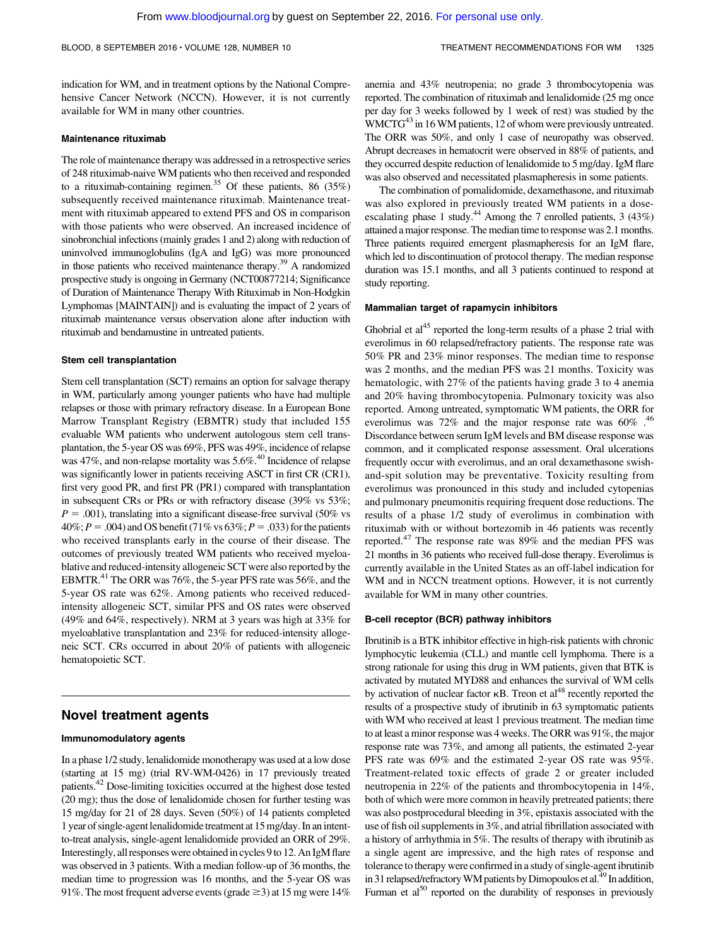indication for WM, and in treatment options by the National Comprehensive Cancer Network (NCCN). However, it is not currently available for WM in many other countries.

#### Maintenance rituximab

The role of maintenance therapy was addressed in a retrospective series of 248 rituximab-naive WM patients who then received and responded to a rituximab-containing regimen.<sup>35</sup> Of these patients, 86 (35%) subsequently received maintenance rituximab. Maintenance treatment with rituximab appeared to extend PFS and OS in comparison with those patients who were observed. An increased incidence of sinobronchial infections (mainly grades 1 and 2) along with reduction of uninvolved immunoglobulins (IgA and IgG) was more pronounced in those patients who received maintenance therapy.<sup>39</sup> A randomized prospective study is ongoing in Germany (NCT00877214; Significance of Duration of Maintenance Therapy With Rituximab in Non-Hodgkin Lymphomas [MAINTAIN]) and is evaluating the impact of 2 years of rituximab maintenance versus observation alone after induction with rituximab and bendamustine in untreated patients.

#### Stem cell transplantation

Stem cell transplantation (SCT) remains an option for salvage therapy in WM, particularly among younger patients who have had multiple relapses or those with primary refractory disease. In a European Bone Marrow Transplant Registry (EBMTR) study that included 155 evaluable WM patients who underwent autologous stem cell transplantation, the 5-year OS was 69%, PFS was 49%, incidence of relapse was 47%, and non-relapse mortality was 5.6%.40 Incidence of relapse was significantly lower in patients receiving ASCT in first CR (CR1), first very good PR, and first PR (PR1) compared with transplantation in subsequent CRs or PRs or with refractory disease (39% vs 53%;  $P = .001$ ), translating into a significant disease-free survival (50% vs  $40\%;P = .004$ ) and OS benefit (71% vs 63%;  $P = .033$ ) for the patients who received transplants early in the course of their disease. The outcomes of previously treated WM patients who received myeloablative and reduced-intensity allogeneic SCT were also reported by the EBMTR.41 The ORR was 76%, the 5-year PFS rate was 56%, and the 5-year OS rate was 62%. Among patients who received reducedintensity allogeneic SCT, similar PFS and OS rates were observed (49% and 64%, respectively). NRM at 3 years was high at 33% for myeloablative transplantation and 23% for reduced-intensity allogeneic SCT. CRs occurred in about 20% of patients with allogeneic hematopoietic SCT.

### Novel treatment agents

#### Immunomodulatory agents

In a phase 1/2 study, lenalidomide monotherapy was used at a low dose (starting at 15 mg) (trial RV-WM-0426) in 17 previously treated patients.42 Dose-limiting toxicities occurred at the highest dose tested (20 mg); thus the dose of lenalidomide chosen for further testing was 15 mg/day for 21 of 28 days. Seven (50%) of 14 patients completed 1 year of single-agent lenalidomide treatment at 15 mg/day. In an intentto-treat analysis, single-agent lenalidomide provided an ORR of 29%. Interestingly, all responses were obtained in cycles 9 to 12. An IgMflare was observed in 3 patients. With a median follow-up of 36 months, the median time to progression was 16 months, and the 5-year OS was 91%. The most frequent adverse events (grade  $\geq$ 3) at 15 mg were 14%

anemia and 43% neutropenia; no grade 3 thrombocytopenia was reported. The combination of rituximab and lenalidomide (25 mg once per day for 3 weeks followed by 1 week of rest) was studied by the WMCTG<sup>43</sup> in 16 WM patients, 12 of whom were previously untreated. The ORR was 50%, and only 1 case of neuropathy was observed. Abrupt decreases in hematocrit were observed in 88% of patients, and they occurred despite reduction of lenalidomide to 5 mg/day. IgM flare was also observed and necessitated plasmapheresis in some patients.

The combination of pomalidomide, dexamethasone, and rituximab was also explored in previously treated WM patients in a doseescalating phase 1 study.<sup>44</sup> Among the 7 enrolled patients, 3 (43%) attained a major response. The median time to response was 2.1 months. Three patients required emergent plasmapheresis for an IgM flare, which led to discontinuation of protocol therapy. The median response duration was 15.1 months, and all 3 patients continued to respond at study reporting.

#### Mammalian target of rapamycin inhibitors

Ghobrial et  $a1^{45}$  reported the long-term results of a phase 2 trial with everolimus in 60 relapsed/refractory patients. The response rate was 50% PR and 23% minor responses. The median time to response was 2 months, and the median PFS was 21 months. Toxicity was hematologic, with 27% of the patients having grade 3 to 4 anemia and 20% having thrombocytopenia. Pulmonary toxicity was also reported. Among untreated, symptomatic WM patients, the ORR for everolimus was  $72\%$  and the major response rate was  $60\%$ .<sup>46</sup> Discordance between serum IgM levels and BM disease response was common, and it complicated response assessment. Oral ulcerations frequently occur with everolimus, and an oral dexamethasone swishand-spit solution may be preventative. Toxicity resulting from everolimus was pronounced in this study and included cytopenias and pulmonary pneumonitis requiring frequent dose reductions. The results of a phase 1/2 study of everolimus in combination with rituximab with or without bortezomib in 46 patients was recently reported.<sup>47</sup> The response rate was 89% and the median PFS was 21 months in 36 patients who received full-dose therapy. Everolimus is currently available in the United States as an off-label indication for WM and in NCCN treatment options. However, it is not currently available for WM in many other countries.

#### B-cell receptor (BCR) pathway inhibitors

Ibrutinib is a BTK inhibitor effective in high-risk patients with chronic lymphocytic leukemia (CLL) and mantle cell lymphoma. There is a strong rationale for using this drug in WM patients, given that BTK is activated by mutated MYD88 and enhances the survival of WM cells by activation of nuclear factor  $\kappa$ B. Treon et al<sup>48</sup> recently reported the results of a prospective study of ibrutinib in 63 symptomatic patients with WM who received at least 1 previous treatment. The median time to at least a minor response was 4 weeks. The ORR was 91%, the major response rate was 73%, and among all patients, the estimated 2-year PFS rate was 69% and the estimated 2-year OS rate was 95%. Treatment-related toxic effects of grade 2 or greater included neutropenia in 22% of the patients and thrombocytopenia in 14%, both of which were more common in heavily pretreated patients; there was also postprocedural bleeding in 3%, epistaxis associated with the use of fish oil supplements in 3%, and atrial fibrillation associated with a history of arrhythmia in 5%. The results of therapy with ibrutinib as a single agent are impressive, and the high rates of response and tolerance to therapy were confirmed in a study of single-agent ibrutinib in 31 relapsed/refractory WM patients by Dimopoulos et al.<sup>49</sup> In addition, Furman et  $al^{50}$  reported on the durability of responses in previously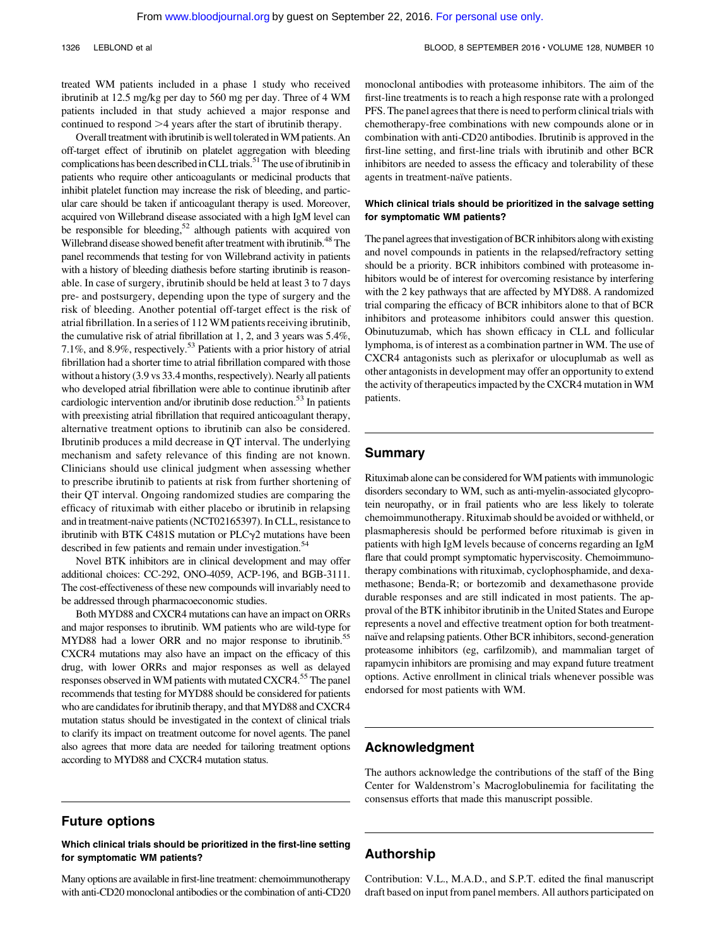treated WM patients included in a phase 1 study who received ibrutinib at 12.5 mg/kg per day to 560 mg per day. Three of 4 WM patients included in that study achieved a major response and continued to respond  $>4$  years after the start of ibrutinib therapy.

Overall treatment with ibrutinib is well tolerated in WM patients. An off-target effect of ibrutinib on platelet aggregation with bleeding complications has been described in CLL trials.<sup>51</sup> The use of ibrutinib in patients who require other anticoagulants or medicinal products that inhibit platelet function may increase the risk of bleeding, and particular care should be taken if anticoagulant therapy is used. Moreover, acquired von Willebrand disease associated with a high IgM level can be responsible for bleeding,<sup>52</sup> although patients with acquired von Willebrand disease showed benefit after treatment with ibrutinib.<sup>48</sup> The panel recommends that testing for von Willebrand activity in patients with a history of bleeding diathesis before starting ibrutinib is reasonable. In case of surgery, ibrutinib should be held at least 3 to 7 days pre- and postsurgery, depending upon the type of surgery and the risk of bleeding. Another potential off-target effect is the risk of atrial fibrillation. In a series of 112 WM patients receiving ibrutinib, the cumulative risk of atrial fibrillation at 1, 2, and 3 years was 5.4%, 7.1%, and 8.9%, respectively.<sup>53</sup> Patients with a prior history of atrial fibrillation had a shorter time to atrial fibrillation compared with those without a history (3.9 vs 33.4 months, respectively). Nearly all patients who developed atrial fibrillation were able to continue ibrutinib after cardiologic intervention and/or ibrutinib dose reduction.<sup>53</sup> In patients with preexisting atrial fibrillation that required anticoagulant therapy, alternative treatment options to ibrutinib can also be considered. Ibrutinib produces a mild decrease in QT interval. The underlying mechanism and safety relevance of this finding are not known. Clinicians should use clinical judgment when assessing whether to prescribe ibrutinib to patients at risk from further shortening of their QT interval. Ongoing randomized studies are comparing the efficacy of rituximab with either placebo or ibrutinib in relapsing and in treatment-naive patients (NCT02165397). In CLL, resistance to ibrutinib with BTK C481S mutation or  $PLC\gamma2$  mutations have been described in few patients and remain under investigation.<sup>54</sup>

Novel BTK inhibitors are in clinical development and may offer additional choices: CC-292, ONO-4059, ACP-196, and BGB-3111. The cost-effectiveness of these new compounds will invariably need to be addressed through pharmacoeconomic studies.

Both MYD88 and CXCR4 mutations can have an impact on ORRs and major responses to ibrutinib. WM patients who are wild-type for MYD88 had a lower ORR and no major response to ibrutinib.<sup>55</sup> CXCR4 mutations may also have an impact on the efficacy of this drug, with lower ORRs and major responses as well as delayed responses observed in WM patients with mutated CXCR4.<sup>55</sup> The panel recommends that testing for MYD88 should be considered for patients who are candidates for ibrutinib therapy, and that MYD88 and CXCR4 mutation status should be investigated in the context of clinical trials to clarify its impact on treatment outcome for novel agents. The panel also agrees that more data are needed for tailoring treatment options according to MYD88 and CXCR4 mutation status.

monoclonal antibodies with proteasome inhibitors. The aim of the first-line treatments is to reach a high response rate with a prolonged PFS. The panel agrees that there is need to perform clinical trials with chemotherapy-free combinations with new compounds alone or in combination with anti-CD20 antibodies. Ibrutinib is approved in the first-line setting, and first-line trials with ibrutinib and other BCR inhibitors are needed to assess the efficacy and tolerability of these agents in treatment-naïve patients.

#### Which clinical trials should be prioritized in the salvage setting for symptomatic WM patients?

The panel agrees that investigation of BCR inhibitors along with existing and novel compounds in patients in the relapsed/refractory setting should be a priority. BCR inhibitors combined with proteasome inhibitors would be of interest for overcoming resistance by interfering with the 2 key pathways that are affected by MYD88. A randomized trial comparing the efficacy of BCR inhibitors alone to that of BCR inhibitors and proteasome inhibitors could answer this question. Obinutuzumab, which has shown efficacy in CLL and follicular lymphoma, is of interest as a combination partner in WM. The use of CXCR4 antagonists such as plerixafor or ulocuplumab as well as other antagonists in development may offer an opportunity to extend the activity of therapeutics impacted by the CXCR4 mutation in WM patients.

### Summary

Rituximab alone can be considered for WM patients with immunologic disorders secondary to WM, such as anti-myelin-associated glycoprotein neuropathy, or in frail patients who are less likely to tolerate chemoimmunotherapy. Rituximab should be avoided or withheld, or plasmapheresis should be performed before rituximab is given in patients with high IgM levels because of concerns regarding an IgM flare that could prompt symptomatic hyperviscosity. Chemoimmunotherapy combinations with rituximab, cyclophosphamide, and dexamethasone; Benda-R; or bortezomib and dexamethasone provide durable responses and are still indicated in most patients. The approval of the BTK inhibitor ibrutinib in the United States and Europe represents a novel and effective treatment option for both treatmentnaïve and relapsing patients. Other BCR inhibitors, second-generation proteasome inhibitors (eg, carfilzomib), and mammalian target of rapamycin inhibitors are promising and may expand future treatment options. Active enrollment in clinical trials whenever possible was endorsed for most patients with WM.

### Acknowledgment

The authors acknowledge the contributions of the staff of the Bing Center for Waldenstrom's Macroglobulinemia for facilitating the consensus efforts that made this manuscript possible.

### Future options

Which clinical trials should be prioritized in the first-line setting for symptomatic WM patients?

Many options are available in first-line treatment: chemoimmunotherapy with anti-CD20 monoclonal antibodies or the combination of anti-CD20

### Authorship

Contribution: V.L., M.A.D., and S.P.T. edited the final manuscript draft based on input from panel members. All authors participated on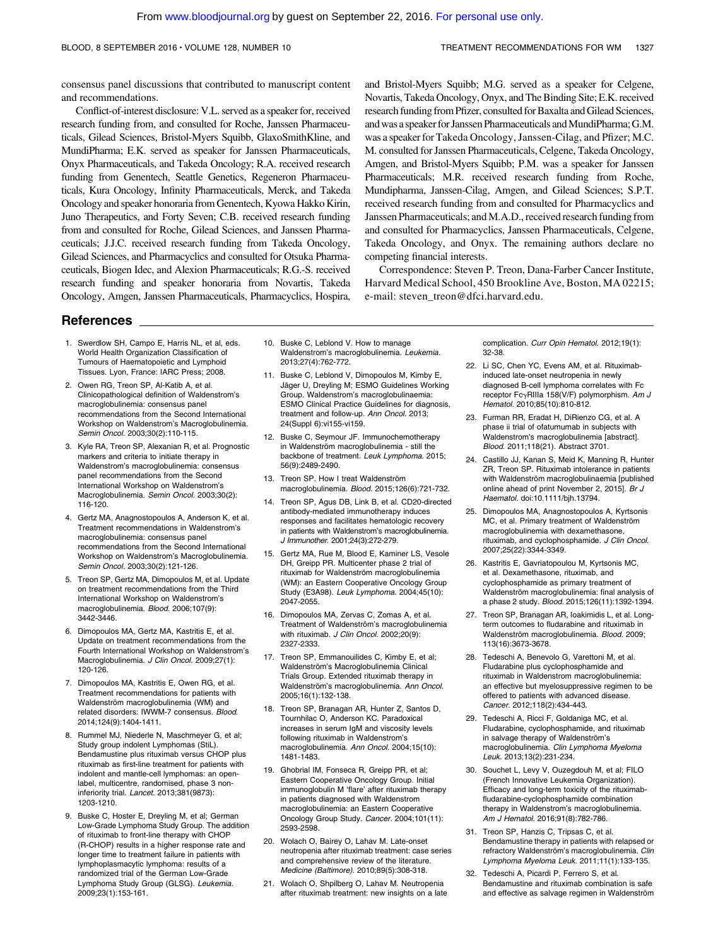consensus panel discussions that contributed to manuscript content and recommendations.

Conflict-of-interest disclosure: V.L. served as a speaker for, received research funding from, and consulted for Roche, Janssen Pharmaceuticals, Gilead Sciences, Bristol-Myers Squibb, GlaxoSmithKline, and MundiPharma; E.K. served as speaker for Janssen Pharmaceuticals, Onyx Pharmaceuticals, and Takeda Oncology; R.A. received research funding from Genentech, Seattle Genetics, Regeneron Pharmaceuticals, Kura Oncology, Infinity Pharmaceuticals, Merck, and Takeda Oncology and speaker honoraria from Genentech, Kyowa Hakko Kirin, Juno Therapeutics, and Forty Seven; C.B. received research funding from and consulted for Roche, Gilead Sciences, and Janssen Pharmaceuticals; J.J.C. received research funding from Takeda Oncology, Gilead Sciences, and Pharmacyclics and consulted for Otsuka Pharmaceuticals, Biogen Idec, and Alexion Pharmaceuticals; R.G.-S. received research funding and speaker honoraria from Novartis, Takeda Oncology, Amgen, Janssen Pharmaceuticals, Pharmacyclics, Hospira,

References

- 1. Swerdlow SH, Campo E, Harris NL, et al, eds. World Health Organization Classification of Tumours of Haematopoietic and Lymphoid Tissues. Lyon, France: IARC Press; 2008.
- 2. Owen RG, Treon SP, Al-Katib A, et al. Clinicopathological definition of Waldenstrom's macroglobulinemia: consensus panel recommendations from the Second International Workshop on Waldenstrom's Macroglobulinemia. Semin Oncol. 2003;30(2):110-115.
- 3. Kyle RA, Treon SP, Alexanian R, et al. Prognostic markers and criteria to initiate therapy in Waldenstrom's macroglobulinemia: consensus panel recommendations from the Second International Workshop on Waldenstrom's Macroglobulinemia. Semin Oncol. 2003;30(2): 116-120.
- 4. Gertz MA, Anagnostopoulos A, Anderson K, et al. Treatment recommendations in Waldenstrom's macroglobulinemia: consensus panel recommendations from the Second International Workshop on Waldenstrom's Macroglobulinemia. Semin Oncol. 2003;30(2):121-126.
- 5. Treon SP, Gertz MA, Dimopoulos M, et al. Update on treatment recommendations from the Third International Workshop on Waldenstrom's macroglobulinemia. Blood. 2006;107(9): 3442-3446.
- 6. Dimopoulos MA, Gertz MA, Kastritis E, et al. Update on treatment recommendations from the Fourth International Workshop on Waldenstrom's Macroglobulinemia. J Clin Oncol. 2009;27(1): 120-126.
- 7. Dimopoulos MA, Kastritis E, Owen RG, et al. Treatment recommendations for patients with Waldenström macroglobulinemia (WM) and related disorders: IWWM-7 consensus. Blood. 2014;124(9):1404-1411.
- 8. Rummel MJ, Niederle N, Maschmeyer G, et al; Study group indolent Lymphomas (StiL). Bendamustine plus rituximab versus CHOP plus rituximab as first-line treatment for patients with indolent and mantle-cell lymphomas: an openlabel, multicentre, randomised, phase 3 noninferiority trial. Lancet. 2013;381(9873): 1203-1210.
- 9. Buske C, Hoster E, Dreyling M, et al; German Low-Grade Lymphoma Study Group. The addition of rituximab to front-line therapy with CHOP (R-CHOP) results in a higher response rate and longer time to treatment failure in patients with lymphoplasmacytic lymphoma: results of a randomized trial of the German Low-Grade Lymphoma Study Group (GLSG). Leukemia. 2009;23(1):153-161.
- 10. Buske C, Leblond V. How to manage Waldenstrom's macroglobulinemia. Leukemia. 2013;27(4):762-772.
- 11. Buske C, Leblond V, Dimopoulos M, Kimby E, Jäger U, Dreyling M; ESMO Guidelines Working Group. Waldenstrom's macroglobulinaemia: ESMO Clinical Practice Guidelines for diagnosis, treatment and follow-up. Ann Oncol. 2013; 24(Suppl 6):vi155-vi159.
- 12. Buske C, Seymour JF. Immunochemotherapy in Waldenström macroglobulinemia - still the backbone of treatment. Leuk Lymphoma. 2015; 56(9):2489-2490.
- 13. Treon SP. How I treat Waldenström macroglobulinemia. Blood. 2015;126(6):721-732.
- 14. Treon SP, Agus DB, Link B, et al. CD20-directed antibody-mediated immunotherapy induces responses and facilitates hematologic recovery in patients with Waldenstrom's macroglobulinemia. J Immunother. 2001;24(3):272-279.
- 15. Gertz MA, Rue M, Blood E, Kaminer LS, Vesole DH, Greipp PR. Multicenter phase 2 trial of rituximab for Waldenström macroglobulinemia (WM): an Eastern Cooperative Oncology Group Study (E3A98). Leuk Lymphoma. 2004;45(10): 2047-2055.
- 16. Dimopoulos MA, Zervas C, Zomas A, et al. Treatment of Waldenström's macroglobulinemia with rituximab. J Clin Oncol. 2002;20(9): 2327-2333.
- 17. Treon SP, Emmanouilides C, Kimby E, et al; Waldenström's Macroglobulinemia Clinical Trials Group. Extended rituximab therapy in Waldenström's macroglobulinemia. Ann Oncol. 2005;16(1):132-138.
- 18. Treon SP, Branagan AR, Hunter Z, Santos D, Tournhilac O, Anderson KC. Paradoxical increases in serum IgM and viscosity levels following rituximab in Waldenstrom's macroglobulinemia. Ann Oncol. 2004;15(10): 1481-1483.
- 19. Ghobrial IM, Fonseca R, Greipp PR, et al; Eastern Cooperative Oncology Group. Initial immunoglobulin M 'flare' after rituximab therapy in patients diagnosed with Waldenstrom macroglobulinemia: an Eastern Cooperative Oncology Group Study. Cancer. 2004;101(11): 2593-2598.
- 20. Wolach O, Bairey O, Lahav M. Late-onset neutropenia after rituximab treatment: case series and comprehensive review of the literature. Medicine (Baltimore). 2010;89(5):308-318.
- 21. Wolach O, Shpilberg O, Lahav M. Neutropenia after rituximab treatment: new insights on a late

and Bristol-Myers Squibb; M.G. served as a speaker for Celgene, Novartis, Takeda Oncology, Onyx, and The Binding Site; E.K. received research funding from Pfizer, consulted for Baxalta and Gilead Sciences, and was a speaker for Janssen Pharmaceuticals and MundiPharma; G.M. was a speaker for Takeda Oncology, Janssen-Cilag, and Pfizer; M.C. M. consulted for Janssen Pharmaceuticals, Celgene, Takeda Oncology, Amgen, and Bristol-Myers Squibb; P.M. was a speaker for Janssen Pharmaceuticals; M.R. received research funding from Roche, Mundipharma, Janssen-Cilag, Amgen, and Gilead Sciences; S.P.T. received research funding from and consulted for Pharmacyclics and Janssen Pharmaceuticals; and M.A.D., received research funding from and consulted for Pharmacyclics, Janssen Pharmaceuticals, Celgene, Takeda Oncology, and Onyx. The remaining authors declare no competing financial interests.

Correspondence: Steven P. Treon, Dana-Farber Cancer Institute, Harvard Medical School, 450 Brookline Ave, Boston, MA 02215; e-mail: [steven\\_treon@dfci.harvard.edu](mailto:steven_treon@dfci.harvard.edu).

> complication. Curr Opin Hematol. 2012;19(1): 32-38.

- 22. Li SC, Chen YC, Evens AM, et al. Rituximabinduced late-onset neutropenia in newly diagnosed B-cell lymphoma correlates with Fc receptor FcγRIIIa 158(V/F) polymorphism. Am J Hematol. 2010;85(10):810-812.
- 23. Furman RR, Eradat H, DiRienzo CG, et al. A phase ii trial of ofatumumab in subjects with Waldenstrom's macroglobulinemia [abstract]. Blood. 2011;118(21). Abstract 3701.
- 24. Castillo JJ, Kanan S, Meid K, Manning R, Hunter ZR, Treon SP. Rituximab intolerance in patients with Waldenström macroglobulinaemia [published online ahead of print November 2, 2015]. Br J Haematol. doi:10.1111/bjh.13794.
- 25. Dimopoulos MA, Anagnostopoulos A, Kyrtsonis MC, et al. Primary treatment of Waldenström macroglobulinemia with dexamethasone, rituximab, and cyclophosphamide. J Clin Oncol. 2007;25(22):3344-3349.
- 26. Kastritis E, Gavriatopoulou M, Kyrtsonis MC, et al. Dexamethasone, rituximab, and cyclophosphamide as primary treatment of Waldenström macroglobulinemia: final analysis of a phase 2 study. Blood. 2015;126(11):1392-1394.
- 27. Treon SP, Branagan AR, Ioakimidis L, et al. Longterm outcomes to fludarabine and rituximab in Waldenström macroglobulinemia. Blood. 2009; 113(16):3673-3678.
- 28. Tedeschi A, Benevolo G, Varettoni M, et al. Fludarabine plus cyclophosphamide and rituximab in Waldenstrom macroglobulinemia: an effective but myelosuppressive regimen to be offered to patients with advanced disease. Cancer. 2012;118(2):434-443.
- 29. Tedeschi A, Ricci F, Goldaniga MC, et al. Fludarabine, cyclophosphamide, and rituximab in salvage therapy of Waldenström's macroglobulinemia. Clin Lymphoma Myeloma Leuk. 2013;13(2):231-234.
- 30. Souchet L, Levy V, Ouzegdouh M, et al; FILO (French Innovative Leukemia Organization). Efficacy and long-term toxicity of the rituximabfludarabine-cyclophosphamide combination therapy in Waldenstrom's macroglobulinemia. Am J Hematol. 2016;91(8):782-786.
- 31. Treon SP, Hanzis C, Tripsas C, et al. Bendamustine therapy in patients with relapsed or refractory Waldenström's macroglobulinemia. Clin Lymphoma Myeloma Leuk. 2011;11(1):133-135.
- 32. Tedeschi A, Picardi P, Ferrero S, et al. Bendamustine and rituximab combination is safe and effective as salvage regimen in Waldenström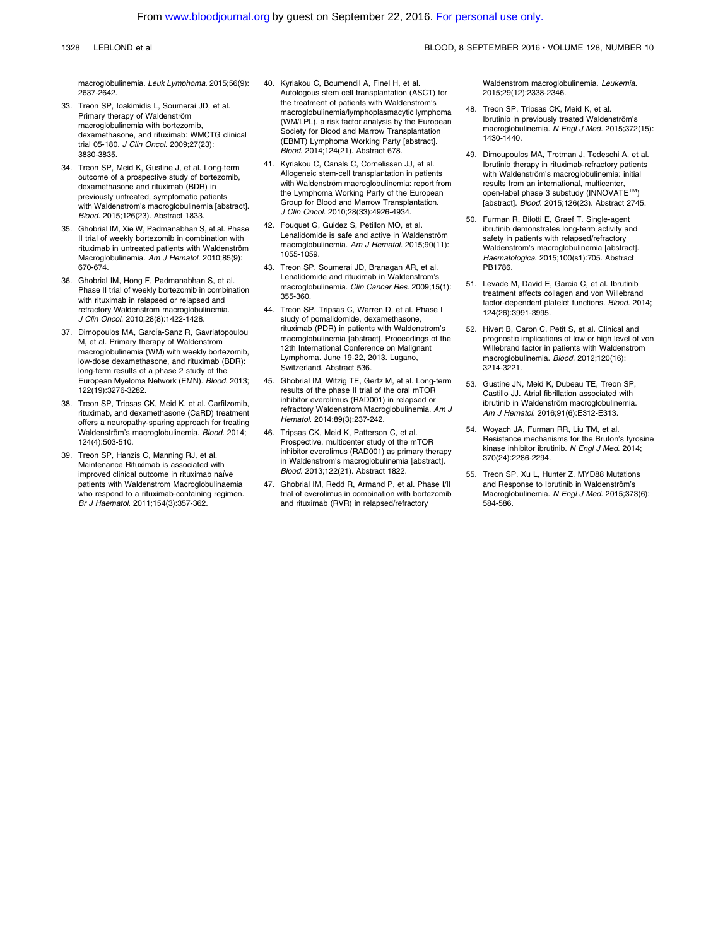macroglobulinemia. Leuk Lymphoma. 2015;56(9): 2637-2642.

- 33. Treon SP, Ioakimidis L, Soumerai JD, et al. Primary therapy of Waldenström macroglobulinemia with bortezomib, dexamethasone, and rituximab: WMCTG clinical trial 05-180. J Clin Oncol. 2009;27(23): 3830-3835.
- 34. Treon SP, Meid K, Gustine J, et al. Long-term outcome of a prospective study of bortezomib, dexamethasone and rituximab (BDR) in previously untreated, symptomatic patients with Waldenstrom's macroglobulinemia [abstract]. Blood. 2015;126(23). Abstract 1833.
- 35. Ghobrial IM, Xie W, Padmanabhan S, et al. Phase II trial of weekly bortezomib in combination with rituximab in untreated patients with Waldenström Macroglobulinemia. Am J Hematol. 2010;85(9): 670-674.
- 36. Ghobrial IM, Hong F, Padmanabhan S, et al. Phase II trial of weekly bortezomib in combination with rituximab in relapsed or relapsed and refractory Waldenstrom macroglobulinemia. J Clin Oncol. 2010;28(8):1422-1428.
- 37. Dimopoulos MA, García-Sanz R, Gavriatopoulou M, et al. Primary therapy of Waldenstrom macroglobulinemia (WM) with weekly bortezomib, low-dose dexamethasone, and rituximab (BDR): long-term results of a phase 2 study of the European Myeloma Network (EMN). Blood. 2013; 122(19):3276-3282.
- 38. Treon SP, Tripsas CK, Meid K, et al. Carfilzomib, rituximab, and dexamethasone (CaRD) treatment offers a neuropathy-sparing approach for treating Waldenström's macroglobulinemia. Blood. 2014; 124(4):503-510.
- 39. Treon SP, Hanzis C, Manning RJ, et al. Maintenance Rituximab is associated with improved clinical outcome in rituximab naïve patients with Waldenstrom Macroglobulinaemia who respond to a rituximab-containing regimen. Br J Haematol. 2011;154(3):357-362.
- 40. Kyriakou C, Boumendil A, Finel H, et al. Autologous stem cell transplantation (ASCT) for the treatment of patients with Waldenstrom's macroglobulinemia/lymphoplasmacytic lymphoma (WM/LPL). a risk factor analysis by the European Society for Blood and Marrow Transplantation (EBMT) Lymphoma Working Party [abstract]. Blood. 2014;124(21). Abstract 678.
- 41. Kyriakou C, Canals C, Cornelissen JJ, et al. Allogeneic stem-cell transplantation in patients with Waldenström macroglobulinemia: report from the Lymphoma Working Party of the European Group for Blood and Marrow Transplantation. J Clin Oncol. 2010;28(33):4926-4934.
- 42. Fouquet G, Guidez S, Petillon MO, et al. Lenalidomide is safe and active in Waldenström macroglobulinemia. Am J Hematol. 2015;90(11): 1055-1059.
- 43. Treon SP, Soumerai JD, Branagan AR, et al. Lenalidomide and rituximab in Waldenstrom's macroglobulinemia. Clin Cancer Res. 2009;15(1): 355-360.
- 44. Treon SP, Tripsas C, Warren D, et al. Phase I study of pomalidomide, dexamethasone, rituximab (PDR) in patients with Waldenstrom's macroglobulinemia [abstract]. Proceedings of the 12th International Conference on Malignant Lymphoma. June 19-22, 2013. Lugano, Switzerland. Abstract 536.
- 45. Ghobrial IM, Witzig TE, Gertz M, et al. Long-term results of the phase II trial of the oral mTOR inhibitor everolimus (RAD001) in relapsed or refractory Waldenstrom Macroglobulinemia. Am J Hematol. 2014;89(3):237-242.
- 46. Tripsas CK, Meid K, Patterson C, et al. Prospective, multicenter study of the mTOR inhibitor everolimus (RAD001) as primary therapy in Waldenstrom's macroglobulinemia [abstract]. Blood. 2013;122(21). Abstract 1822.
- 47. Ghobrial IM, Redd R, Armand P, et al. Phase I/II trial of everolimus in combination with bortezomib and rituximab (RVR) in relapsed/refractory

Waldenstrom macroglobulinemia. Leukemia. 2015;29(12):2338-2346.

- 48. Treon SP, Tripsas CK, Meid K, et al. Ibrutinib in previously treated Waldenström's macroglobulinemia. N Engl J Med. 2015;372(15): 1430-1440.
- 49. Dimoupoulos MA, Trotman J, Tedeschi A, et al. Ibrutinib therapy in rituximab-refractory patients with Waldenström's macroglobulinemia: initial results from an international, multicenter, open-label phase 3 substudy (INNOVATE™) [abstract]. Blood. 2015;126(23). Abstract 2745.
- 50. Furman R, Bilotti E, Graef T. Single-agent ibrutinib demonstrates long-term activity and safety in patients with relapsed/refractory Waldenstrom's macroglobulinemia [abstract]. Haematologica. 2015;100(s1):705. Abstract PB1786.
- 51. Levade M, David E, Garcia C, et al. Ibrutinib treatment affects collagen and von Willebrand factor-dependent platelet functions. Blood. 2014; 124(26):3991-3995.
- 52. Hivert B, Caron C, Petit S, et al. Clinical and prognostic implications of low or high level of von Willebrand factor in patients with Waldenstrom macroglobulinemia. Blood. 2012;120(16): 3214-3221.
- 53. Gustine JN, Meid K, Dubeau TE, Treon SP, Castillo JJ. Atrial fibrillation associated with ibrutinib in Waldenström macroglobulinemia. Am J Hematol. 2016;91(6):E312-E313.
- 54. Woyach JA, Furman RR, Liu TM, et al. Resistance mechanisms for the Bruton's tyrosine kinase inhibitor ibrutinib. N Engl J Med. 2014; 370(24):2286-2294.
- 55. Treon SP, Xu L, Hunter Z. MYD88 Mutations and Response to Ibrutinib in Waldenström's Macroglobulinemia. N Engl J Med. 2015;373(6): 584-586.